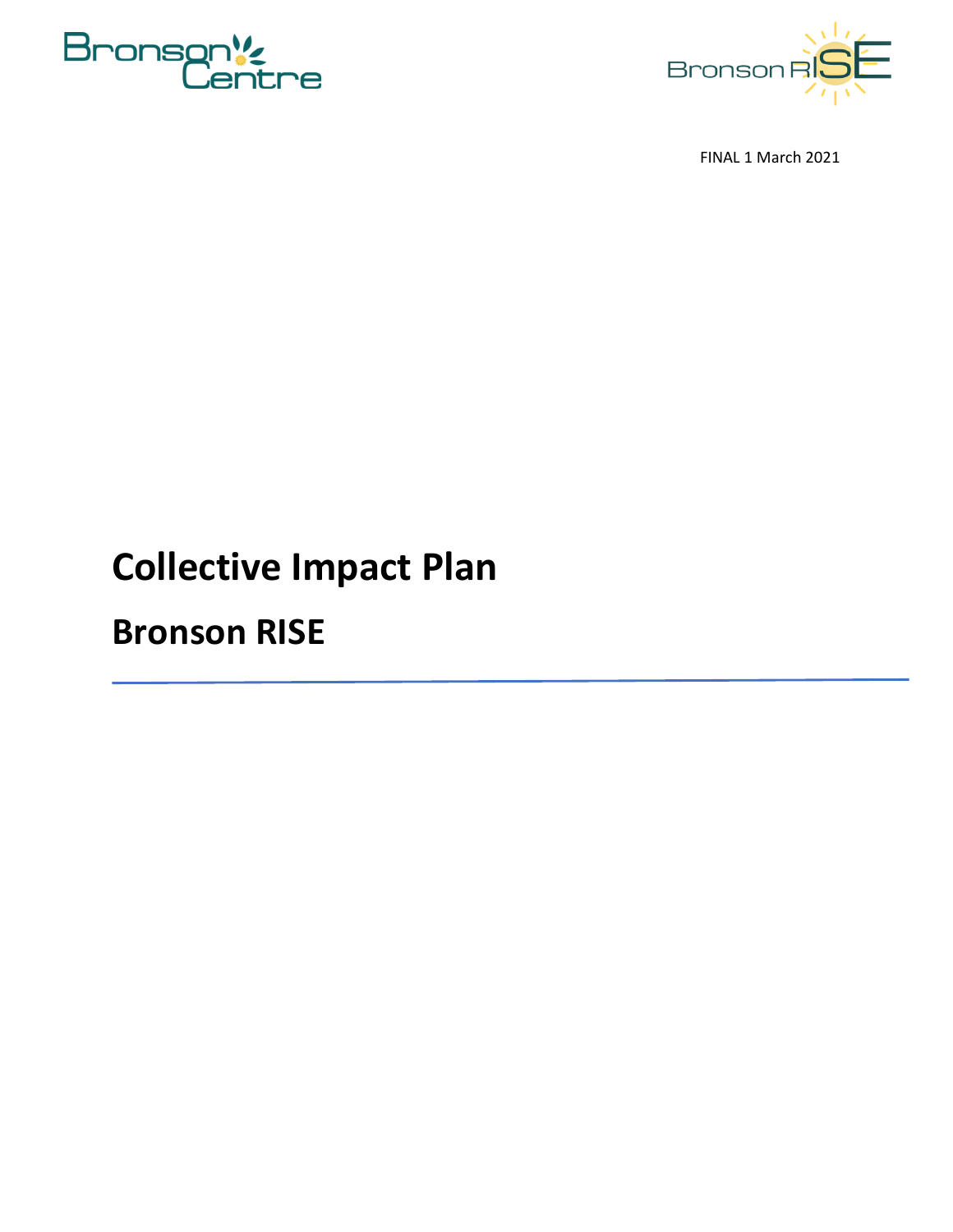



FINAL 1 March 2021

## **Collective Impact Plan**

## **Bronson RISE**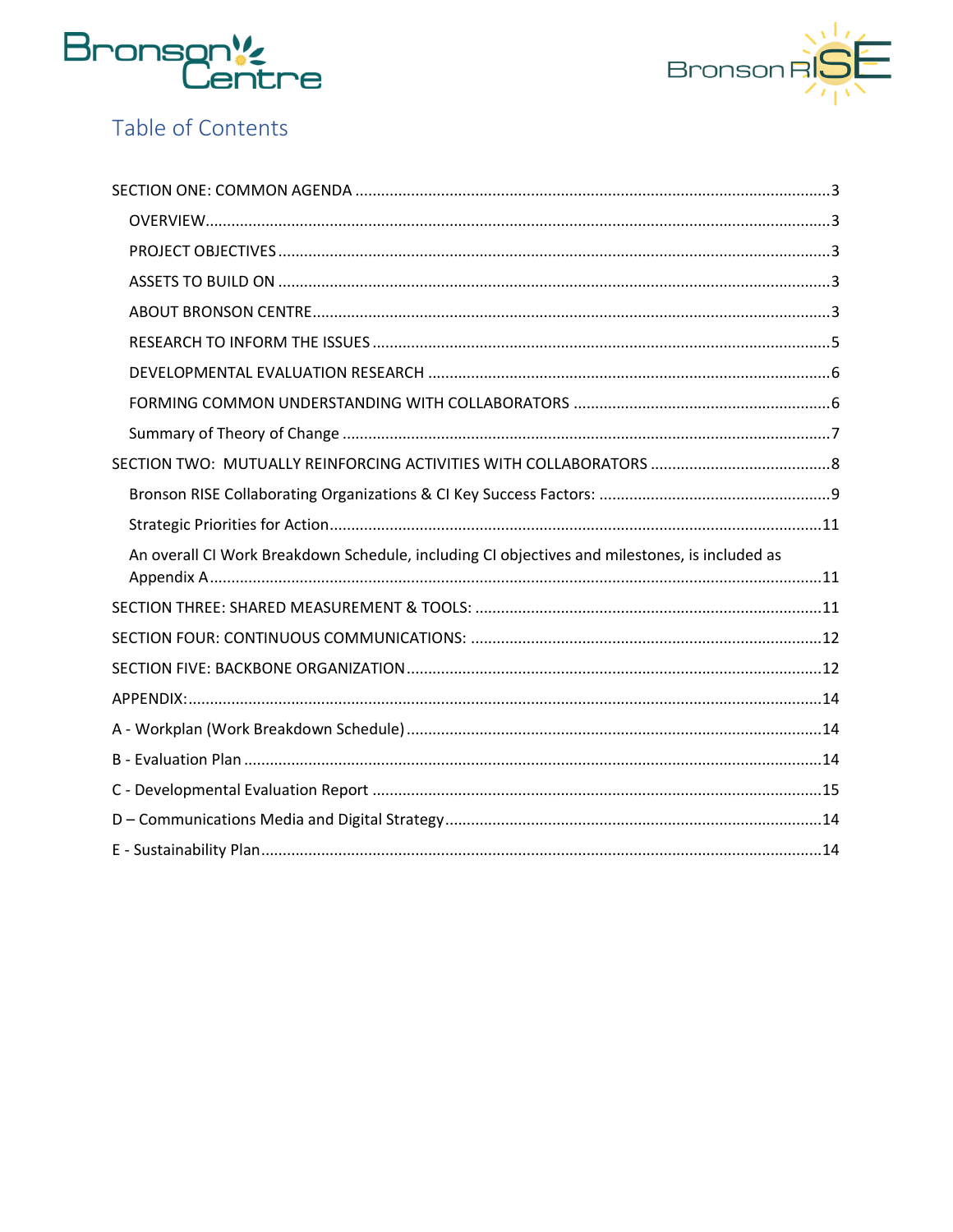



## Table of Contents

| An overall CI Work Breakdown Schedule, including CI objectives and milestones, is included as |  |
|-----------------------------------------------------------------------------------------------|--|
|                                                                                               |  |
|                                                                                               |  |
|                                                                                               |  |
|                                                                                               |  |
|                                                                                               |  |
|                                                                                               |  |
|                                                                                               |  |
|                                                                                               |  |
|                                                                                               |  |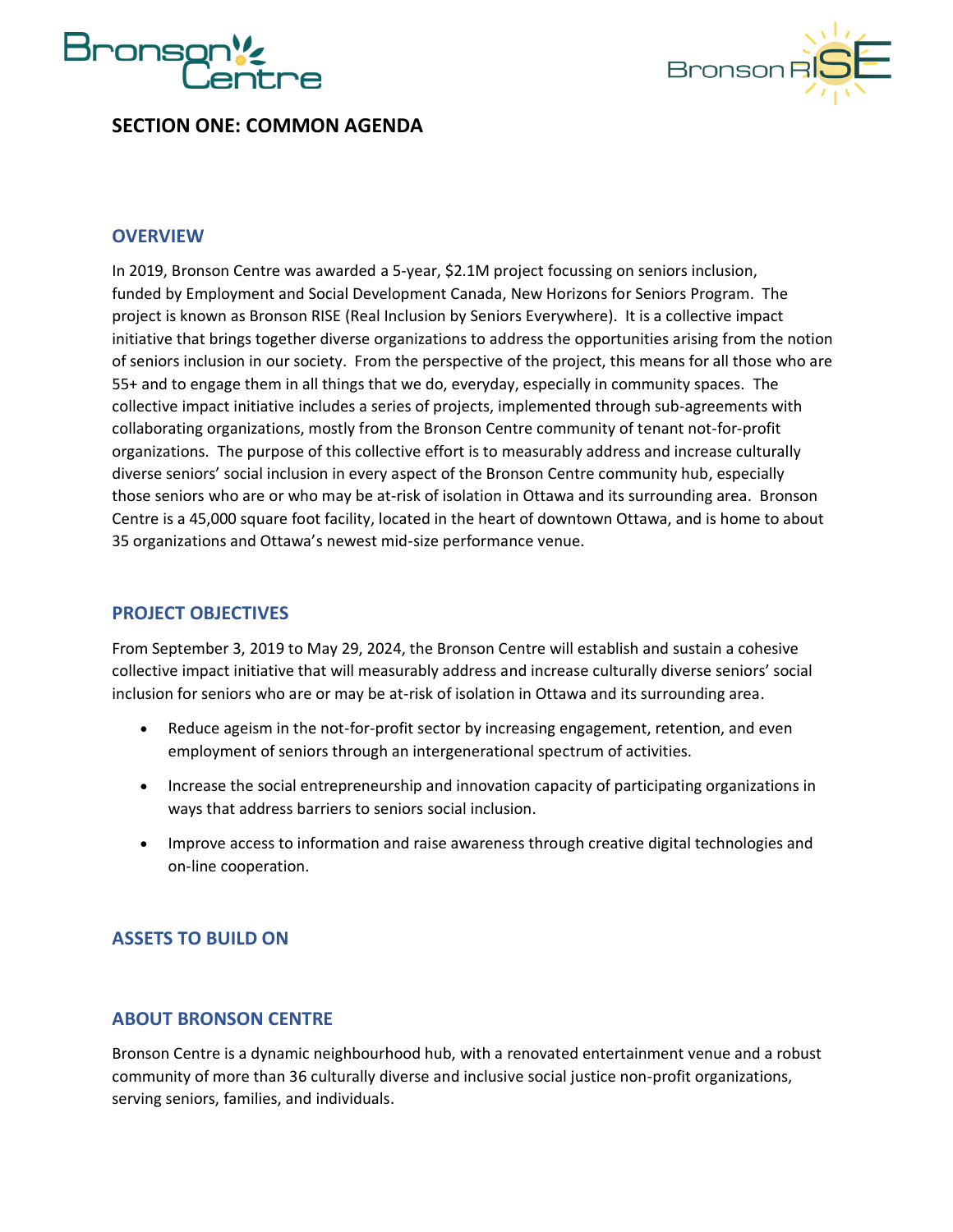



#### <span id="page-2-0"></span>**SECTION ONE: COMMON AGENDA**

#### <span id="page-2-1"></span>**OVERVIEW**

In 2019, Bronson Centre was awarded a 5-year, \$2.1M project focussing on seniors inclusion, funded by Employment and Social Development Canada, New Horizons for Seniors Program. The project is known as Bronson RISE (Real Inclusion by Seniors Everywhere). It is a collective impact initiative that brings together diverse organizations to address the opportunities arising from the notion of seniors inclusion in our society. From the perspective of the project, this means for all those who are 55+ and to engage them in all things that we do, everyday, especially in community spaces. The collective impact initiative includes a series of projects, implemented through sub-agreements with collaborating organizations, mostly from the Bronson Centre community of tenant not-for-profit organizations. The purpose of this collective effort is to measurably address and increase culturally diverse seniors' social inclusion in every aspect of the Bronson Centre community hub, especially those seniors who are or who may be at-risk of isolation in Ottawa and its surrounding area. Bronson Centre is a 45,000 square foot facility, located in the heart of downtown Ottawa, and is home to about 35 organizations and Ottawa's newest mid-size performance venue.

#### <span id="page-2-2"></span>**PROJECT OBJECTIVES**

From September 3, 2019 to May 29, 2024, the Bronson Centre will establish and sustain a cohesive collective impact initiative that will measurably address and increase culturally diverse seniors' social inclusion for seniors who are or may be at-risk of isolation in Ottawa and its surrounding area.

- Reduce ageism in the not-for-profit sector by increasing engagement, retention, and even employment of seniors through an intergenerational spectrum of activities.
- Increase the social entrepreneurship and innovation capacity of participating organizations in ways that address barriers to seniors social inclusion.
- Improve access to information and raise awareness through creative digital technologies and on-line cooperation.

#### <span id="page-2-3"></span>**ASSETS TO BUILD ON**

#### <span id="page-2-4"></span>**ABOUT BRONSON CENTRE**

Bronson Centre is a dynamic neighbourhood hub, with a renovated entertainment venue and a robust community of more than 36 culturally diverse and inclusive social justice non-profit organizations, serving seniors, families, and individuals.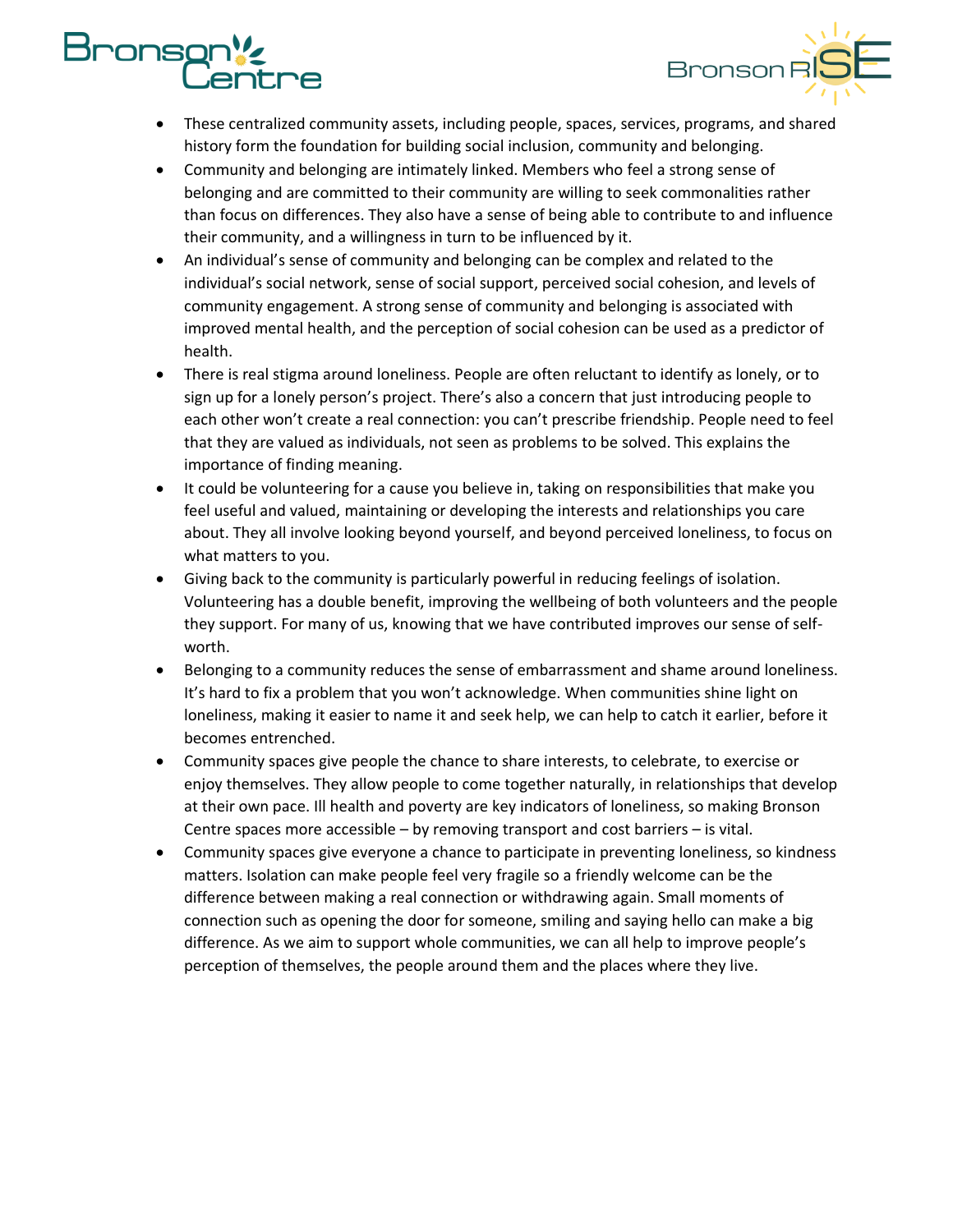## **onso** e



- These centralized community assets, including people, spaces, services, programs, and shared history form the foundation for building social inclusion, community and belonging.
- Community and belonging are intimately linked. Members who feel a strong sense of belonging and are committed to their community are willing to seek commonalities rather than focus on differences. They also have a sense of being able to contribute to and influence their community, and a willingness in turn to be influenced by it.
- An individual's sense of community and belonging can be complex and related to the individual's social network, sense of social support, perceived social cohesion, and levels of community engagement. A strong sense of community and belonging is associated with improved mental health, and the perception of social cohesion can be used as a predictor of health.
- There is real stigma around loneliness. People are often reluctant to identify as lonely, or to sign up for a lonely person's project. There's also a concern that just introducing people to each other won't create a real connection: you can't prescribe friendship. People need to feel that they are valued as individuals, not seen as problems to be solved. This explains the importance of finding meaning.
- It could be volunteering for a cause you believe in, taking on responsibilities that make you feel useful and valued, maintaining or developing the interests and relationships you care about. They all involve looking beyond yourself, and beyond perceived loneliness, to focus on what matters to you.
- Giving back to the community is particularly powerful in reducing feelings of isolation. Volunteering has a double benefit, improving the wellbeing of both volunteers and the people they support. For many of us, knowing that we have contributed improves our sense of selfworth.
- Belonging to a community reduces the sense of embarrassment and shame around loneliness. It's hard to fix a problem that you won't acknowledge. When communities shine light on loneliness, making it easier to name it and seek help, we can help to catch it earlier, before it becomes entrenched.
- Community spaces give people the chance to share interests, to celebrate, to exercise or enjoy themselves. They allow people to come together naturally, in relationships that develop at their own pace. Ill health and poverty are key indicators of loneliness, so making Bronson Centre spaces more accessible – by removing transport and cost barriers – is vital.
- Community spaces give everyone a chance to participate in preventing loneliness, so kindness matters. Isolation can make people feel very fragile so a friendly welcome can be the difference between making a real connection or withdrawing again. Small moments of connection such as opening the door for someone, smiling and saying hello can make a big difference. As we aim to support whole communities, we can all help to improve people's perception of themselves, the people around them and the places where they live.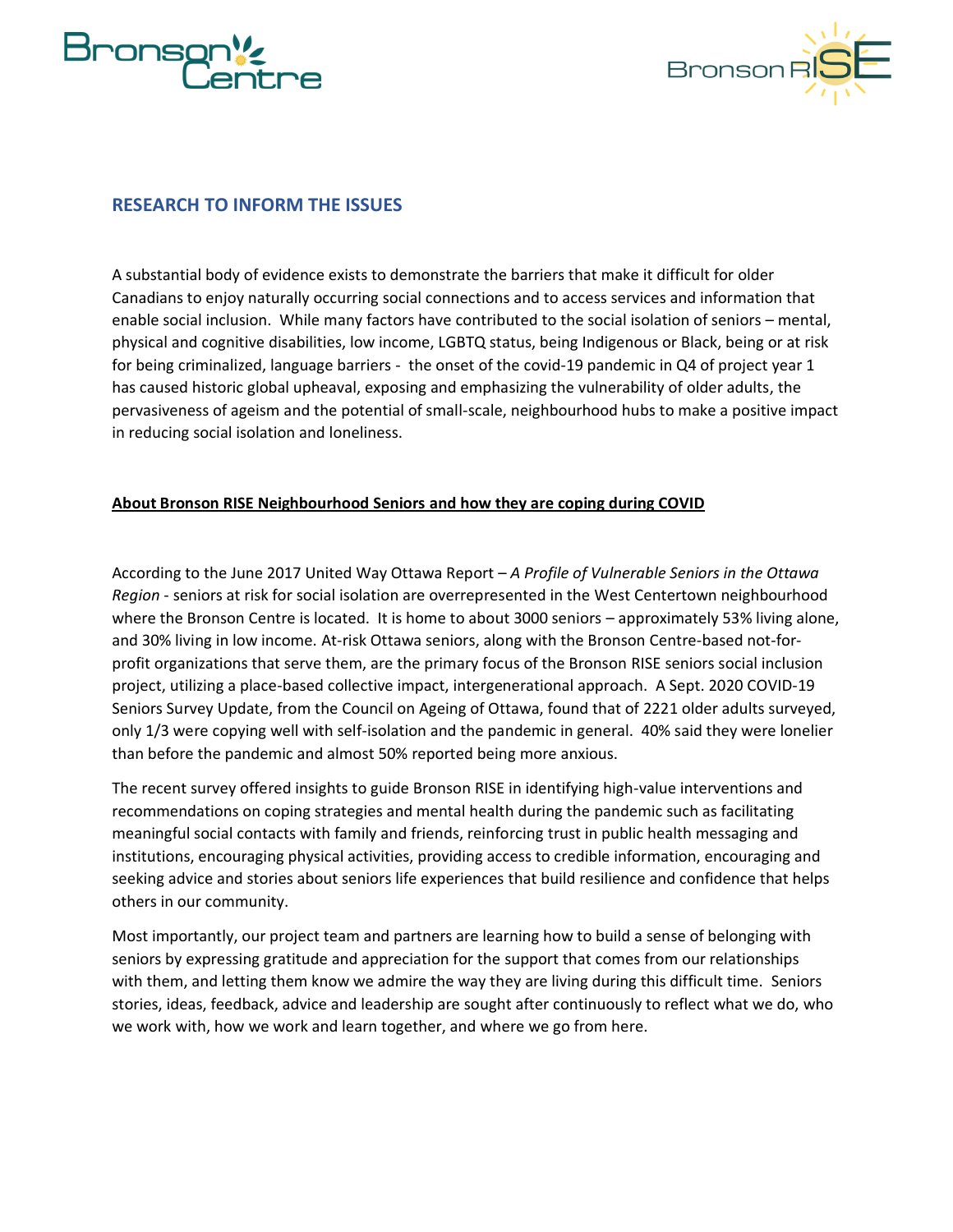



#### <span id="page-4-0"></span>**RESEARCH TO INFORM THE ISSUES**

A substantial body of evidence exists to demonstrate the barriers that make it difficult for older Canadians to enjoy naturally occurring social connections and to access services and information that enable social inclusion. While many factors have contributed to the social isolation of seniors – mental, physical and cognitive disabilities, low income, LGBTQ status, being Indigenous or Black, being or at risk for being criminalized, language barriers - the onset of the covid-19 pandemic in Q4 of project year 1 has caused historic global upheaval, exposing and emphasizing the vulnerability of older adults, the pervasiveness of ageism and the potential of small-scale, neighbourhood hubs to make a positive impact in reducing social isolation and loneliness.

#### **About Bronson RISE Neighbourhood Seniors and how they are coping during COVID**

According to the June 2017 United Way Ottawa Report – *A Profile of Vulnerable Seniors in the Ottawa Region* - seniors at risk for social isolation are overrepresented in the West Centertown neighbourhood where the Bronson Centre is located. It is home to about 3000 seniors – approximately 53% living alone, and 30% living in low income. At-risk Ottawa seniors, along with the Bronson Centre-based not-forprofit organizations that serve them, are the primary focus of the Bronson RISE seniors social inclusion project, utilizing a place-based collective impact, intergenerational approach.  A Sept. 2020 COVID-19 Seniors Survey Update, from the Council on Ageing of Ottawa, found that of 2221 older adults surveyed, only 1/3 were copying well with self-isolation and the pandemic in general. 40% said they were lonelier than before the pandemic and almost 50% reported being more anxious.

The recent survey offered insights to guide Bronson RISE in identifying high-value interventions and recommendations on coping strategies and mental health during the pandemic such as facilitating meaningful social contacts with family and friends, reinforcing trust in public health messaging and institutions, encouraging physical activities, providing access to credible information, encouraging and seeking advice and stories about seniors life experiences that build resilience and confidence that helps others in our community.

Most importantly, our project team and partners are learning how to build a sense of belonging with seniors by expressing gratitude and appreciation for the support that comes from our relationships with them, and letting them know we admire the way they are living during this difficult time. Seniors stories, ideas, feedback, advice and leadership are sought after continuously to reflect what we do, who we work with, how we work and learn together, and where we go from here.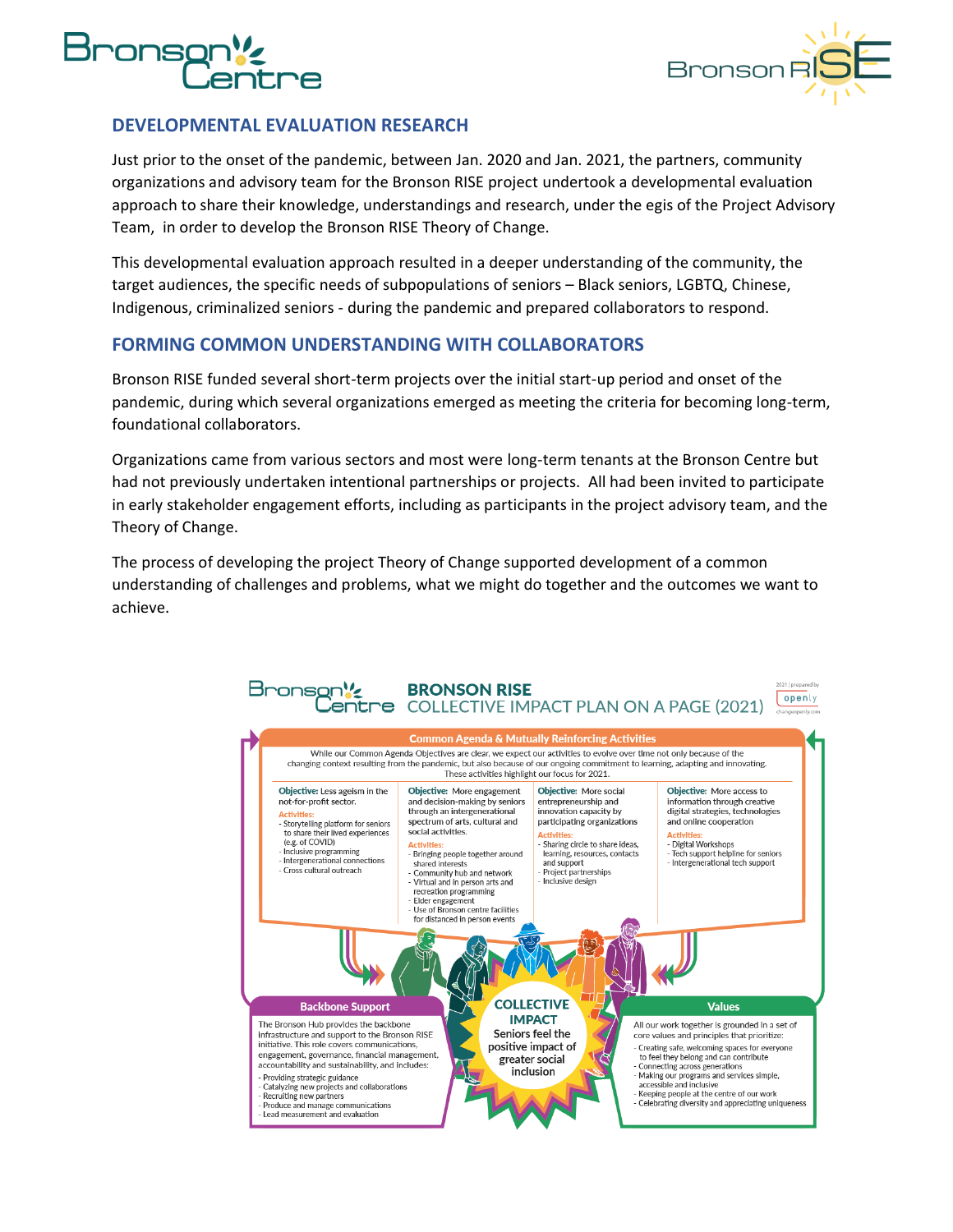



#### <span id="page-5-0"></span>**DEVELOPMENTAL EVALUATION RESEARCH**

Just prior to the onset of the pandemic, between Jan. 2020 and Jan. 2021, the partners, community organizations and advisory team for the Bronson RISE project undertook a developmental evaluation approach to share their knowledge, understandings and research, under the egis of the Project Advisory Team, in order to develop the Bronson RISE Theory of Change.

This developmental evaluation approach resulted in a deeper understanding of the community, the target audiences, the specific needs of subpopulations of seniors – Black seniors, LGBTQ, Chinese, Indigenous, criminalized seniors - during the pandemic and prepared collaborators to respond.

#### <span id="page-5-1"></span>**FORMING COMMON UNDERSTANDING WITH COLLABORATORS**

Bronson RISE funded several short-term projects over the initial start-up period and onset of the pandemic, during which several organizations emerged as meeting the criteria for becoming long-term, foundational collaborators.

Organizations came from various sectors and most were long-term tenants at the Bronson Centre but had not previously undertaken intentional partnerships or projects. All had been invited to participate in early stakeholder engagement efforts, including as participants in the project advisory team, and the Theory of Change.

The process of developing the project Theory of Change supported development of a common understanding of challenges and problems, what we might do together and the outcomes we want to achieve.

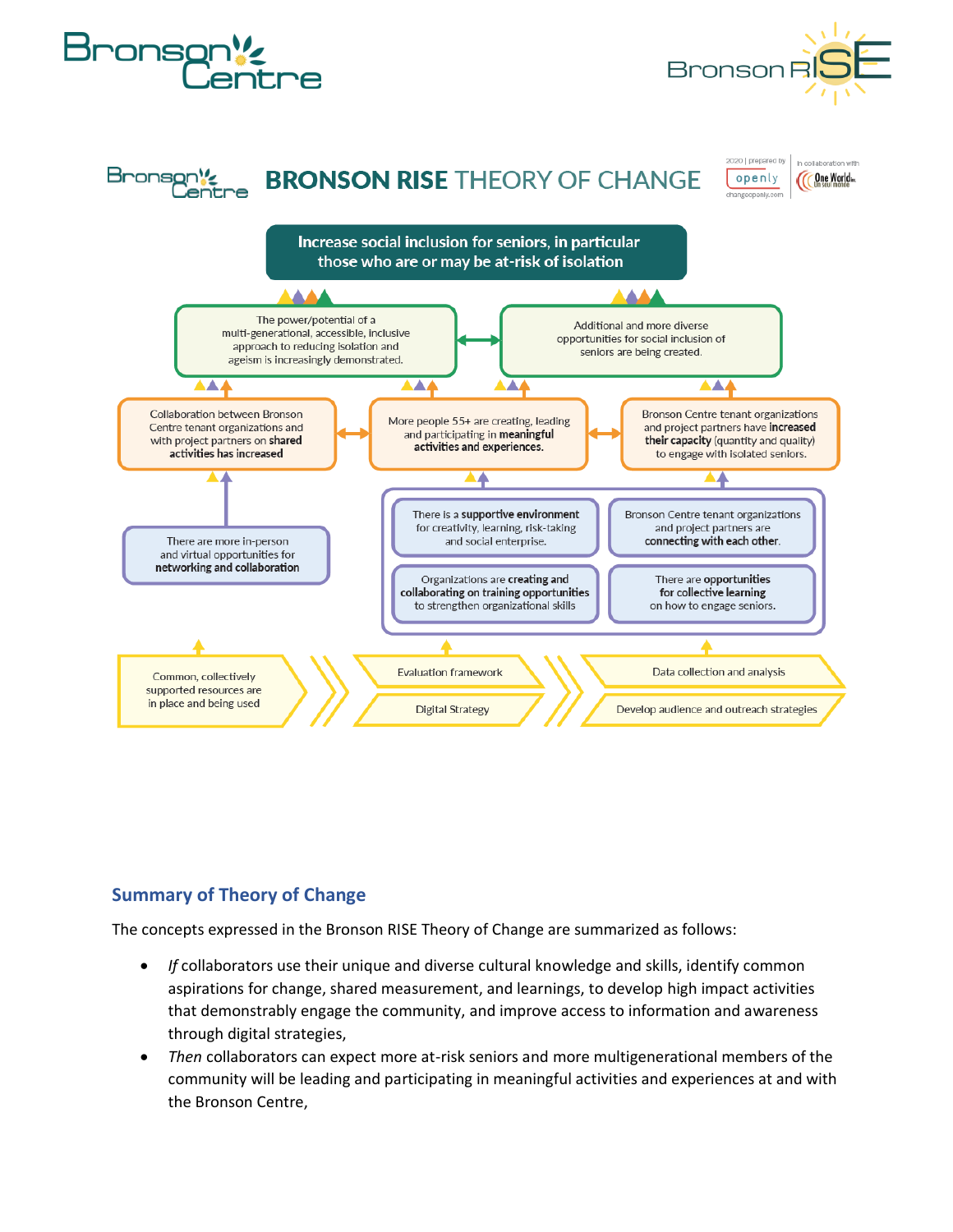

#### <span id="page-6-0"></span>**Summary of Theory of Change**

The concepts expressed in the Bronson RISE Theory of Change are summarized as follows:

- *If* collaborators use their unique and diverse cultural knowledge and skills, identify common aspirations for change, shared measurement, and learnings, to develop high impact activities that demonstrably engage the community, and improve access to information and awareness through digital strategies,
- *Then* collaborators can expect more at-risk seniors and more multigenerational members of the community will be leading and participating in meaningful activities and experiences at and with the Bronson Centre,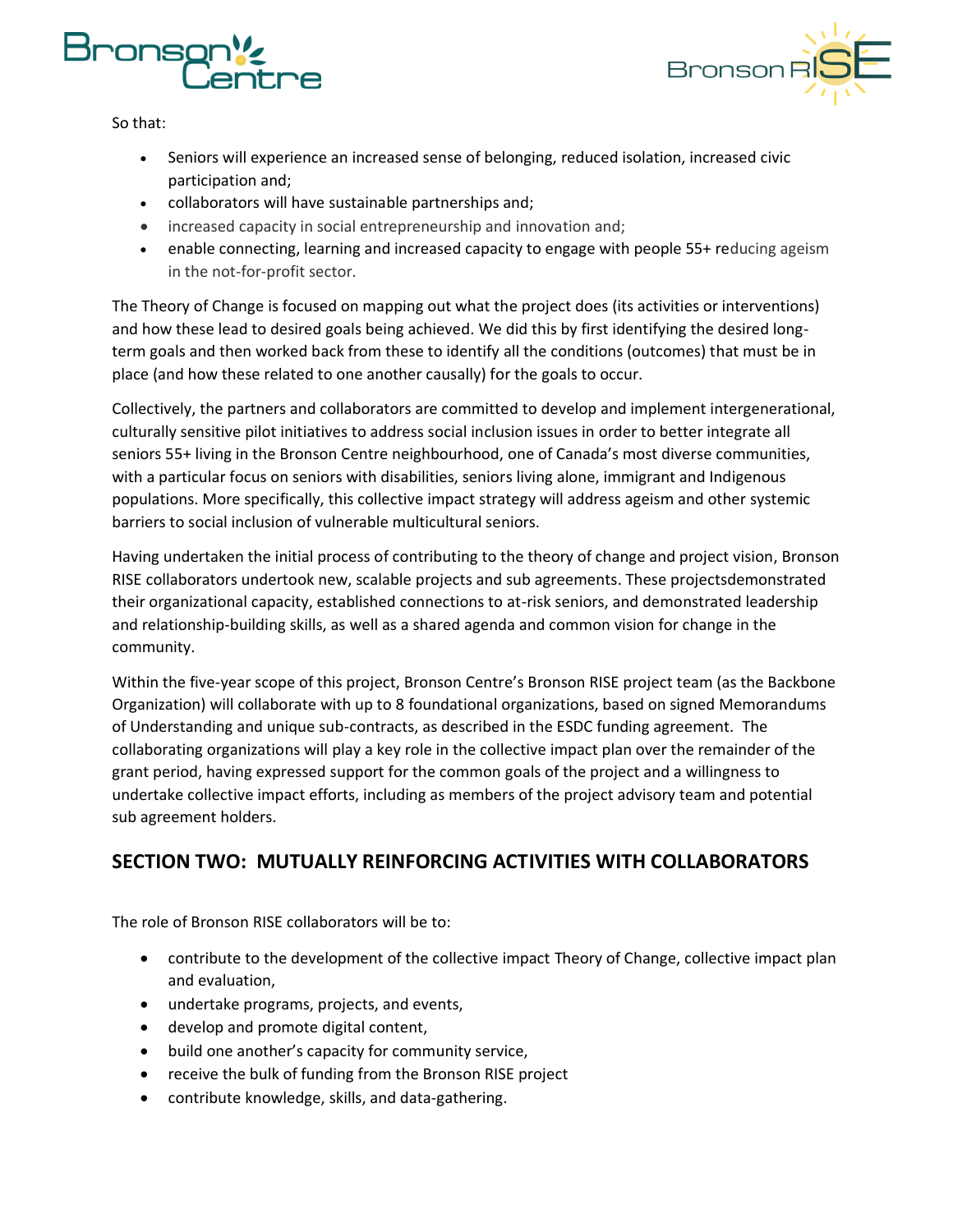



So that:

- Seniors will experience an increased sense of belonging, reduced isolation, increased civic participation and;
- collaborators will have sustainable partnerships and;
- increased capacity in social entrepreneurship and innovation and;
- enable connecting, learning and increased capacity to engage with people 55+ reducing ageism in the not-for-profit sector.

The Theory of Change is focused on mapping out what the project does (its activities or interventions) and how these lead to desired goals being achieved. We did this by first identifying the desired longterm goals and then worked back from these to identify all the conditions (outcomes) that must be in place (and how these related to one another causally) for the goals to occur.

Collectively, the partners and collaborators are committed to develop and implement intergenerational, culturally sensitive pilot initiatives to address social inclusion issues in order to better integrate all seniors 55+ living in the Bronson Centre neighbourhood, one of Canada's most diverse communities, with a particular focus on seniors with disabilities, seniors living alone, immigrant and Indigenous populations. More specifically, this collective impact strategy will address ageism and other systemic barriers to social inclusion of vulnerable multicultural seniors.

Having undertaken the initial process of contributing to the theory of change and project vision, Bronson RISE collaborators undertook new, scalable projects and sub agreements. These projectsdemonstrated their organizational capacity, established connections to at-risk seniors, and demonstrated leadership and relationship-building skills, as well as a shared agenda and common vision for change in the community.

Within the five-year scope of this project, Bronson Centre's Bronson RISE project team (as the Backbone Organization) will collaborate with up to 8 foundational organizations, based on signed Memorandums of Understanding and unique sub-contracts, as described in the ESDC funding agreement. The collaborating organizations will play a key role in the collective impact plan over the remainder of the grant period, having expressed support for the common goals of the project and a willingness to undertake collective impact efforts, including as members of the project advisory team and potential sub agreement holders.

### <span id="page-7-0"></span>**SECTION TWO: MUTUALLY REINFORCING ACTIVITIES WITH COLLABORATORS**

The role of Bronson RISE collaborators will be to:

- contribute to the development of the collective impact Theory of Change, collective impact plan and evaluation,
- undertake programs, projects, and events,
- develop and promote digital content,
- build one another's capacity for community service,
- receive the bulk of funding from the Bronson RISE project
- contribute knowledge, skills, and data-gathering.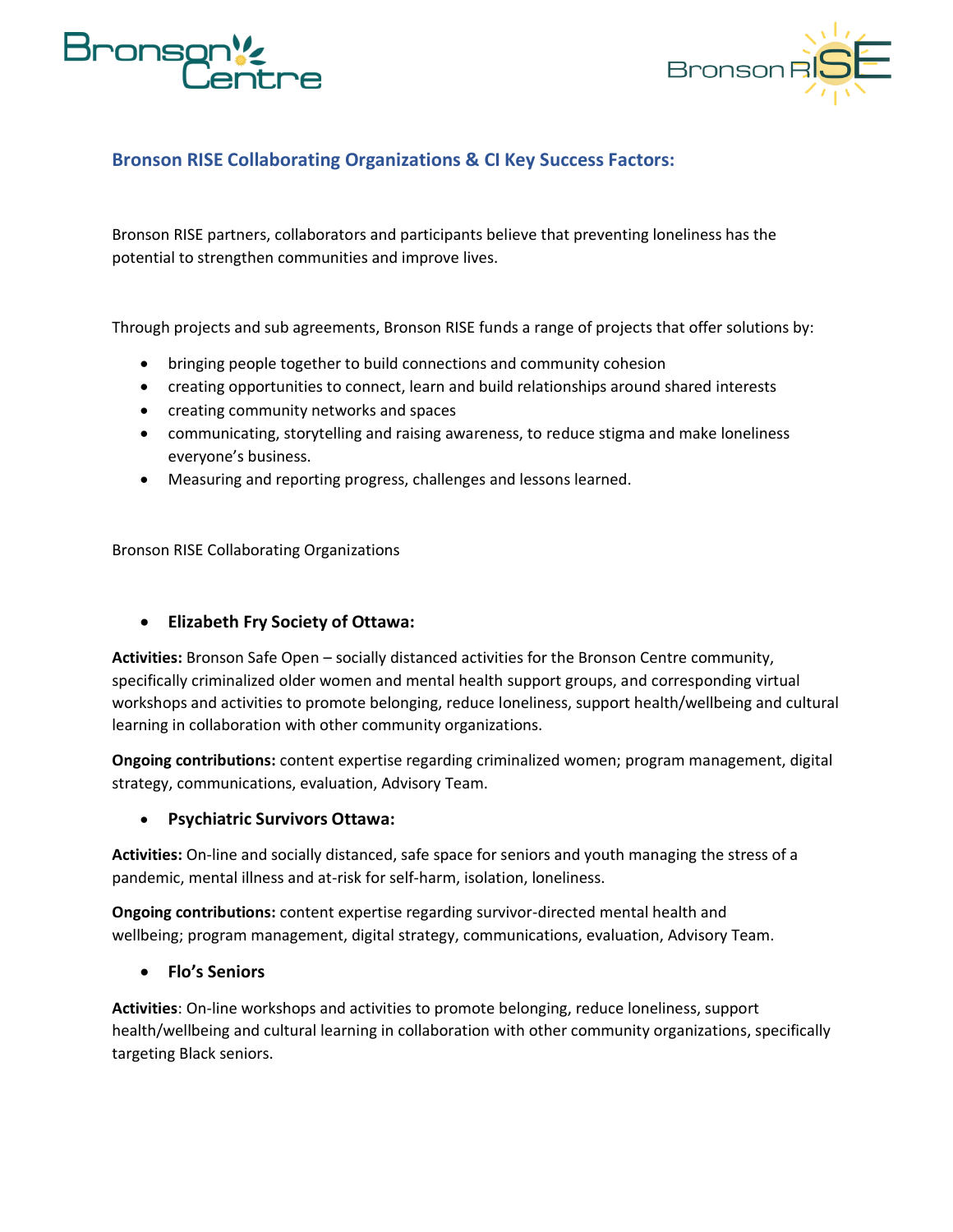



#### <span id="page-8-0"></span>**Bronson RISE Collaborating Organizations & CI Key Success Factors:**

Bronson RISE partners, collaborators and participants believe that preventing loneliness has the potential to strengthen communities and improve lives.

Through projects and sub agreements, Bronson RISE funds a range of projects that offer solutions by:

- bringing people together to build connections and community cohesion
- creating opportunities to connect, learn and build relationships around shared interests
- creating community networks and spaces
- communicating, storytelling and raising awareness, to reduce stigma and make loneliness everyone's business.
- Measuring and reporting progress, challenges and lessons learned.

Bronson RISE Collaborating Organizations

#### • **Elizabeth Fry Society of Ottawa:**

**Activities:** Bronson Safe Open – socially distanced activities for the Bronson Centre community, specifically criminalized older women and mental health support groups, and corresponding virtual workshops and activities to promote belonging, reduce loneliness, support health/wellbeing and cultural learning in collaboration with other community organizations.

**Ongoing contributions:** content expertise regarding criminalized women; program management, digital strategy, communications, evaluation, Advisory Team.

#### • **Psychiatric Survivors Ottawa:**

**Activities:** On-line and socially distanced, safe space for seniors and youth managing the stress of a pandemic, mental illness and at-risk for self-harm, isolation, loneliness.

**Ongoing contributions:** content expertise regarding survivor-directed mental health and wellbeing; program management, digital strategy, communications, evaluation, Advisory Team.

#### • **Flo's Seniors**

**Activities**: On-line workshops and activities to promote belonging, reduce loneliness, support health/wellbeing and cultural learning in collaboration with other community organizations, specifically targeting Black seniors.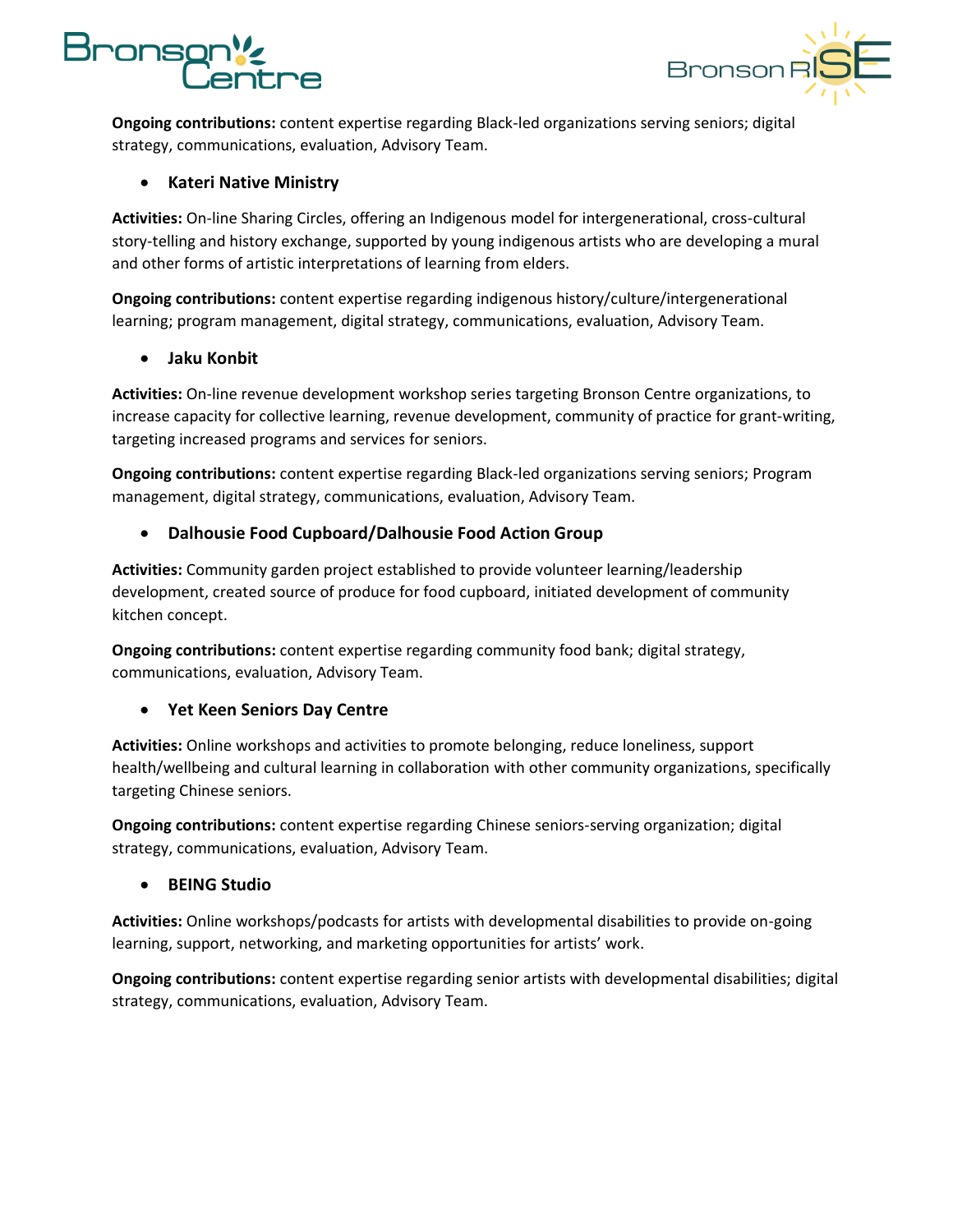

**Ongoing contributions:** content expertise regarding Black-led organizations serving seniors; digital strategy, communications, evaluation, Advisory Team.

#### • **Kateri Native Ministry**

**Activities:** On-line Sharing Circles, offering an Indigenous model for intergenerational, cross-cultural story-telling and history exchange, supported by young indigenous artists who are developing a mural and other forms of artistic interpretations of learning from elders.

**Ongoing contributions:** content expertise regarding indigenous history/culture/intergenerational learning; program management, digital strategy, communications, evaluation, Advisory Team.

#### • **Jaku Konbit**

**Activities:** On-line revenue development workshop series targeting Bronson Centre organizations, to increase capacity for collective learning, revenue development, community of practice for grant-writing, targeting increased programs and services for seniors.

**Ongoing contributions:** content expertise regarding Black-led organizations serving seniors; Program management, digital strategy, communications, evaluation, Advisory Team.

#### • **Dalhousie Food Cupboard/Dalhousie Food Action Group**

**Activities:** Community garden project established to provide volunteer learning/leadership development, created source of produce for food cupboard, initiated development of community kitchen concept.

**Ongoing contributions:** content expertise regarding community food bank; digital strategy, communications, evaluation, Advisory Team.

#### • **Yet Keen Seniors Day Centre**

**Activities:** Online workshops and activities to promote belonging, reduce loneliness, support health/wellbeing and cultural learning in collaboration with other community organizations, specifically targeting Chinese seniors.

**Ongoing contributions:** content expertise regarding Chinese seniors-serving organization; digital strategy, communications, evaluation, Advisory Team.

#### • **BEING Studio**

**Activities:** Online workshops/podcasts for artists with developmental disabilities to provide on-going learning, support, networking, and marketing opportunities for artists' work.

**Ongoing contributions:** content expertise regarding senior artists with developmental disabilities; digital strategy, communications, evaluation, Advisory Team.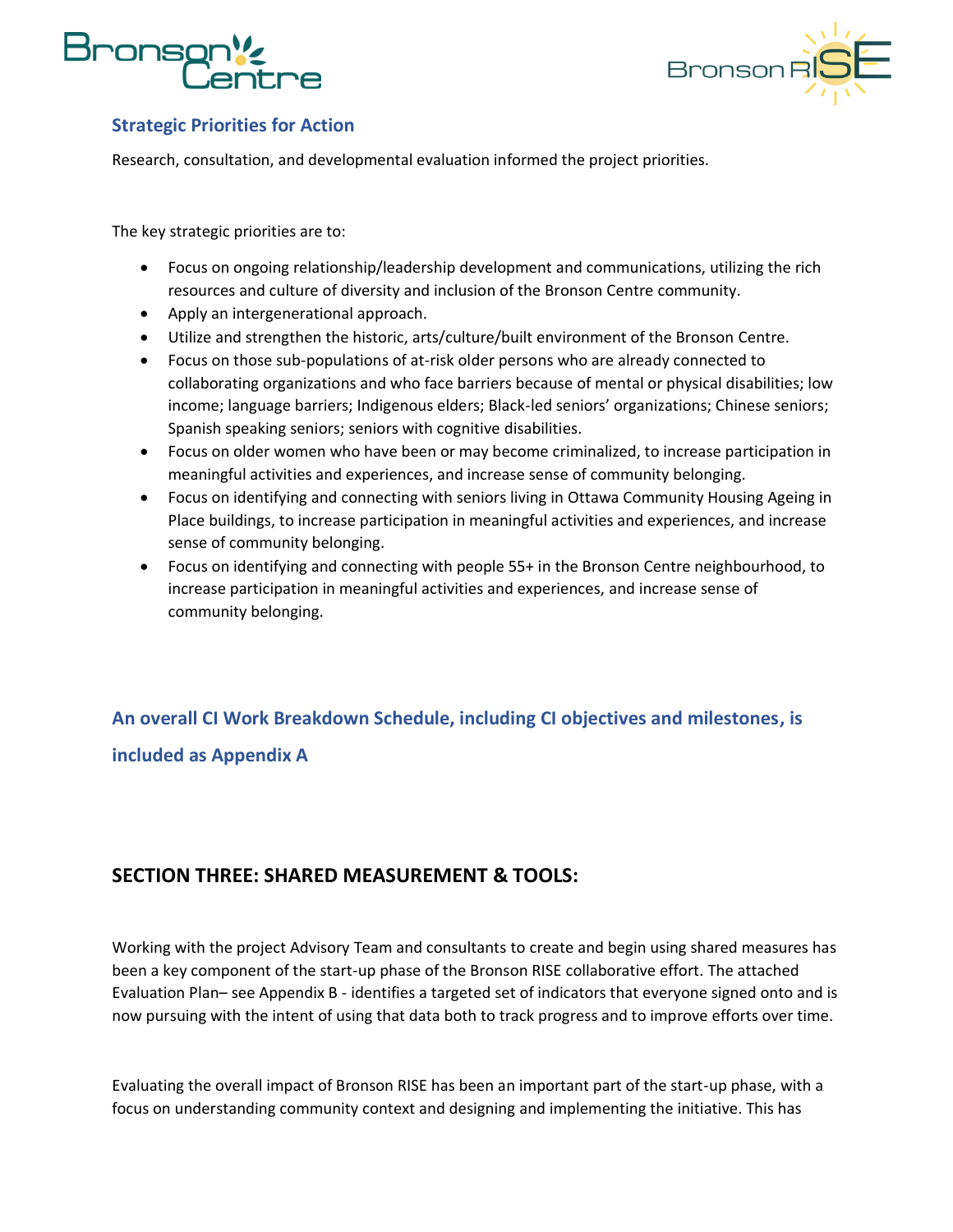# rons



#### <span id="page-10-0"></span>**Strategic Priorities for Action**

Research, consultation, and developmental evaluation informed the project priorities.

The key strategic priorities are to:

- Focus on ongoing relationship/leadership development and communications, utilizing the rich resources and culture of diversity and inclusion of the Bronson Centre community.
- Apply an intergenerational approach.
- Utilize and strengthen the historic, arts/culture/built environment of the Bronson Centre.
- Focus on those sub-populations of at-risk older persons who are already connected to collaborating organizations and who face barriers because of mental or physical disabilities; low income; language barriers; Indigenous elders; Black-led seniors' organizations; Chinese seniors; Spanish speaking seniors; seniors with cognitive disabilities.
- Focus on older women who have been or may become criminalized, to increase participation in meaningful activities and experiences, and increase sense of community belonging.
- Focus on identifying and connecting with seniors living in Ottawa Community Housing Ageing in Place buildings, to increase participation in meaningful activities and experiences, and increase sense of community belonging.
- Focus on identifying and connecting with people 55+ in the Bronson Centre neighbourhood, to increase participation in meaningful activities and experiences, and increase sense of community belonging.

<span id="page-10-1"></span>**An overall CI Work Breakdown Schedule, including CI objectives and milestones, is included as Appendix A** 

### <span id="page-10-2"></span>**SECTION THREE: SHARED MEASUREMENT & TOOLS:**

Working with the project Advisory Team and consultants to create and begin using shared measures has been a key component of the start-up phase of the Bronson RISE collaborative effort. The attached Evaluation Plan– see Appendix B - identifies a targeted set of indicators that everyone signed onto and is now pursuing with the intent of using that data both to track progress and to improve efforts over time.

Evaluating the overall impact of Bronson RISE has been an important part of the start-up phase, with a focus on understanding community context and designing and implementing the initiative. This has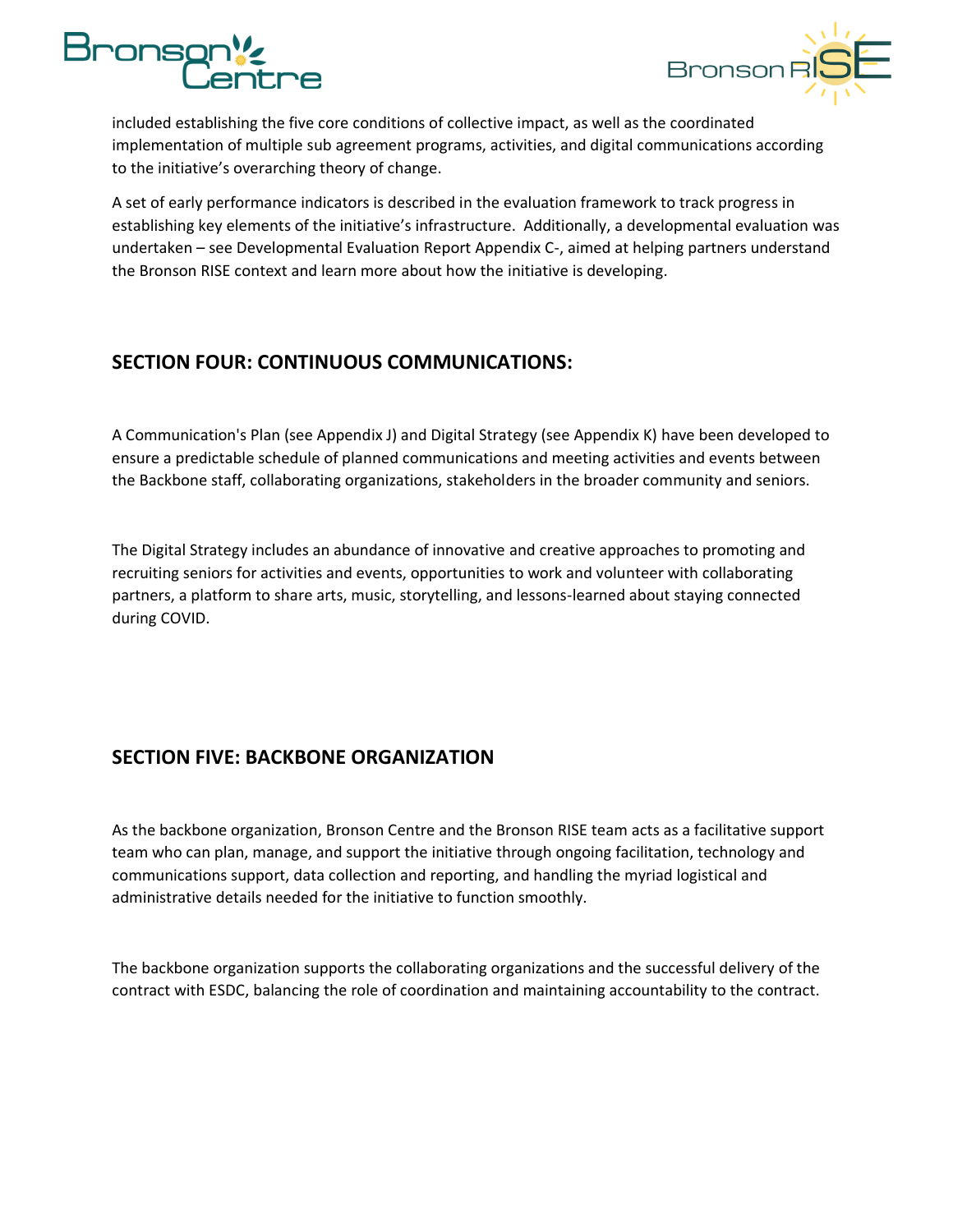



included establishing the five core conditions of collective impact, as well as the coordinated implementation of multiple sub agreement programs, activities, and digital communications according to the initiative's overarching theory of change.

A set of early performance indicators is described in the evaluation framework to track progress in establishing key elements of the initiative's infrastructure. Additionally, a developmental evaluation was undertaken – see Developmental Evaluation Report Appendix C-, aimed at helping partners understand the Bronson RISE context and learn more about how the initiative is developing.

#### <span id="page-11-0"></span>**SECTION FOUR: CONTINUOUS COMMUNICATIONS:**

A Communication's Plan (see Appendix J) and Digital Strategy (see Appendix K) have been developed to ensure a predictable schedule of planned communications and meeting activities and events between the Backbone staff, collaborating organizations, stakeholders in the broader community and seniors.

The Digital Strategy includes an abundance of innovative and creative approaches to promoting and recruiting seniors for activities and events, opportunities to work and volunteer with collaborating partners, a platform to share arts, music, storytelling, and lessons-learned about staying connected during COVID.

### <span id="page-11-1"></span>**SECTION FIVE: BACKBONE ORGANIZATION**

As the backbone organization, Bronson Centre and the Bronson RISE team acts as a facilitative support team who can plan, manage, and support the initiative through ongoing facilitation, technology and communications support, data collection and reporting, and handling the myriad logistical and administrative details needed for the initiative to function smoothly.

The backbone organization supports the collaborating organizations and the successful delivery of the contract with ESDC, balancing the role of coordination and maintaining accountability to the contract.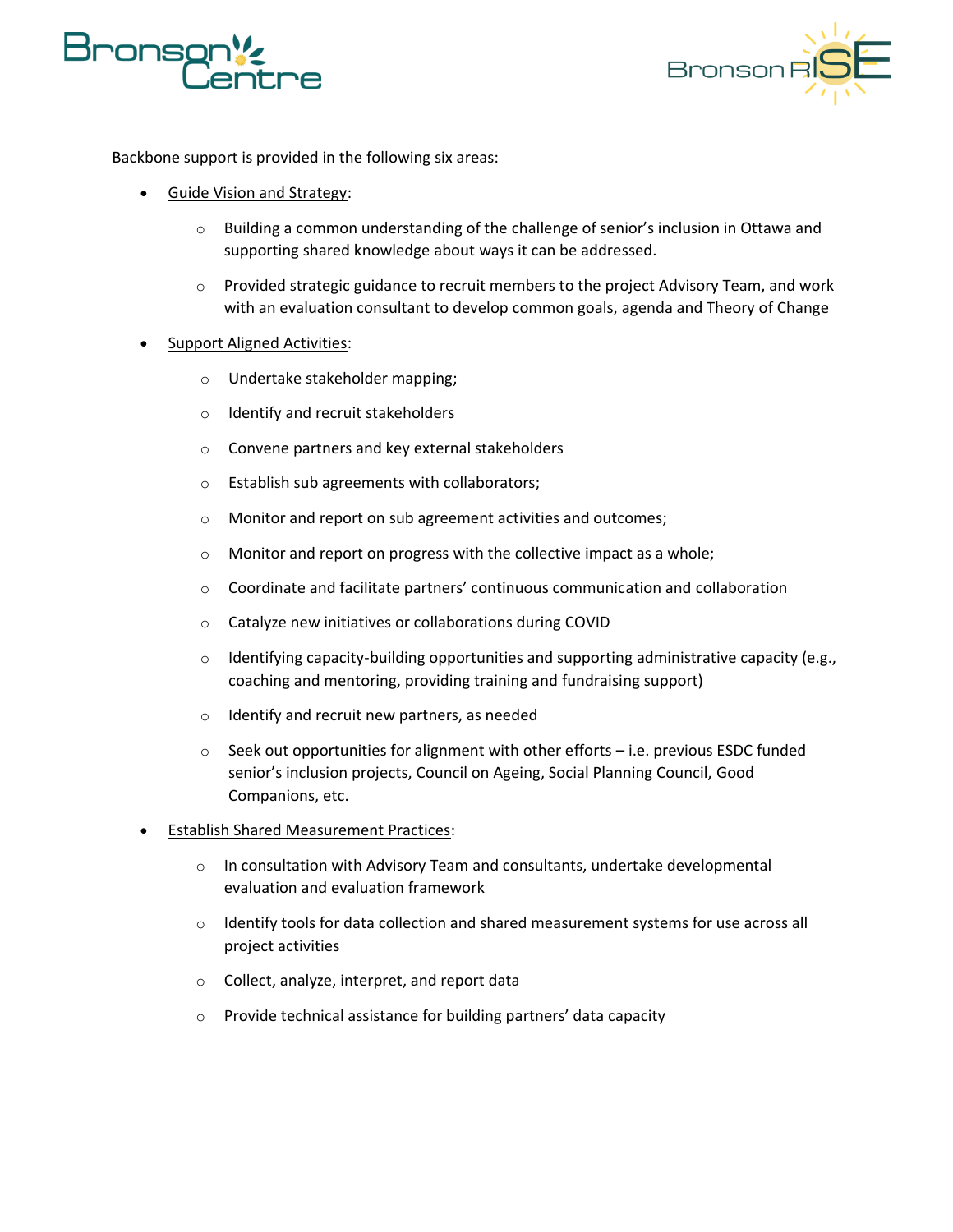



Backbone support is provided in the following six areas:

- Guide Vision and Strategy:
	- o Building a common understanding of the challenge of senior's inclusion in Ottawa and supporting shared knowledge about ways it can be addressed.
	- $\circ$  Provided strategic guidance to recruit members to the project Advisory Team, and work with an evaluation consultant to develop common goals, agenda and Theory of Change
- Support Aligned Activities:
	- o Undertake stakeholder mapping;
	- o Identify and recruit stakeholders
	- o Convene partners and key external stakeholders
	- o Establish sub agreements with collaborators;
	- o Monitor and report on sub agreement activities and outcomes;
	- o Monitor and report on progress with the collective impact as a whole;
	- $\circ$  Coordinate and facilitate partners' continuous communication and collaboration
	- o Catalyze new initiatives or collaborations during COVID
	- $\circ$  Identifying capacity-building opportunities and supporting administrative capacity (e.g., coaching and mentoring, providing training and fundraising support)
	- o Identify and recruit new partners, as needed
	- $\circ$  Seek out opportunities for alignment with other efforts  $-$  i.e. previous ESDC funded senior's inclusion projects, Council on Ageing, Social Planning Council, Good Companions, etc.
- Establish Shared Measurement Practices:
	- $\circ$  In consultation with Advisory Team and consultants, undertake developmental evaluation and evaluation framework
	- o Identify tools for data collection and shared measurement systems for use across all project activities
	- o Collect, analyze, interpret, and report data
	- o Provide technical assistance for building partners' data capacity